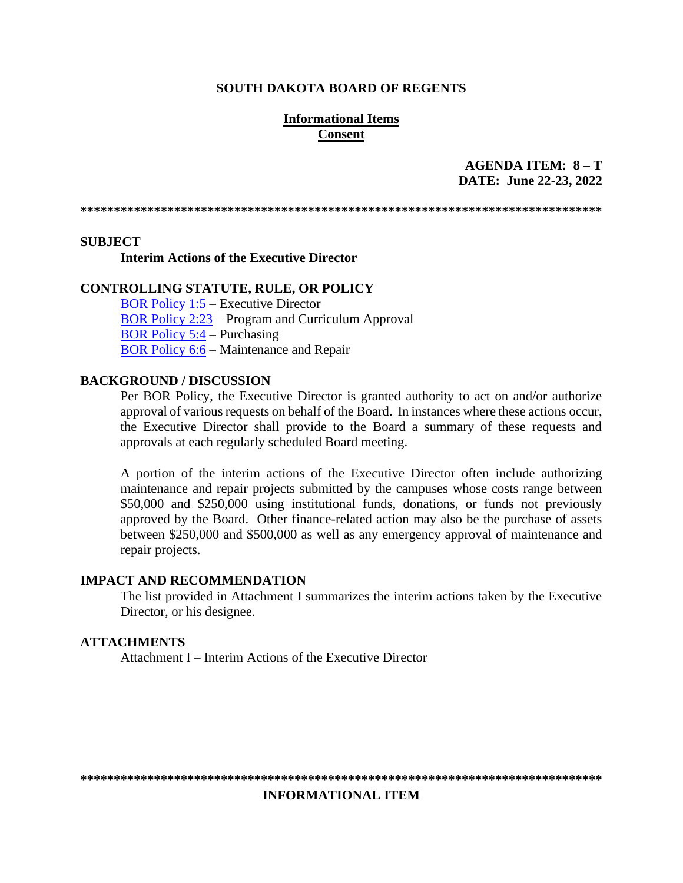#### **SOUTH DAKOTA BOARD OF REGENTS**

## **Informational Items Consent**

# AGENDA ITEM:  $8 - T$ DATE: June 22-23, 2022

#### **SUBJECT**

#### **Interim Actions of the Executive Director**

#### **CONTROLLING STATUTE, RULE, OR POLICY**

**BOR Policy 1:5 – Executive Director** BOR Policy 2:23 – Program and Curriculum Approval **BOR Policy 5:4 – Purchasing BOR Policy 6:6 – Maintenance and Repair** 

### **BACKGROUND / DISCUSSION**

Per BOR Policy, the Executive Director is granted authority to act on and/or authorize approval of various requests on behalf of the Board. In instances where these actions occur, the Executive Director shall provide to the Board a summary of these requests and approvals at each regularly scheduled Board meeting.

A portion of the interim actions of the Executive Director often include authorizing maintenance and repair projects submitted by the campuses whose costs range between \$50,000 and \$250,000 using institutional funds, donations, or funds not previously approved by the Board. Other finance-related action may also be the purchase of assets between \$250,000 and \$500,000 as well as any emergency approval of maintenance and repair projects.

#### **IMPACT AND RECOMMENDATION**

The list provided in Attachment I summarizes the interim actions taken by the Executive Director, or his designee.

#### **ATTACHMENTS**

Attachment I – Interim Actions of the Executive Director

**INFORMATIONAL ITEM**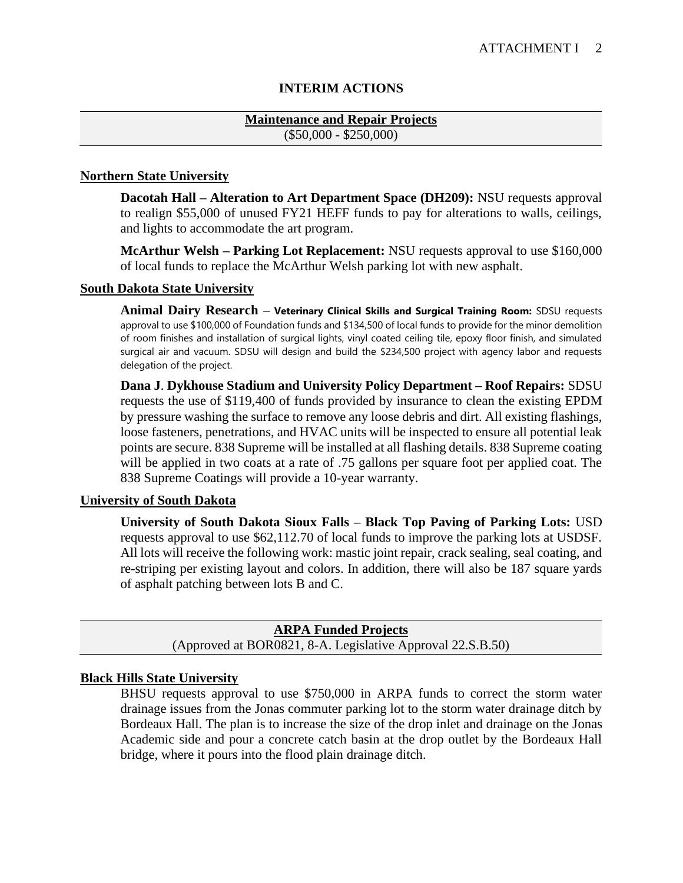# **INTERIM ACTIONS**

## **Maintenance and Repair Projects** (\$50,000 - \$250,000)

## **Northern State University**

**Dacotah Hall – Alteration to Art Department Space (DH209):** NSU requests approval to realign \$55,000 of unused FY21 HEFF funds to pay for alterations to walls, ceilings, and lights to accommodate the art program.

**McArthur Welsh – Parking Lot Replacement:** NSU requests approval to use \$160,000 of local funds to replace the McArthur Welsh parking lot with new asphalt.

## **South Dakota State University**

**Animal Dairy Research – Veterinary Clinical Skills and Surgical Training Room:** SDSU requests approval to use \$100,000 of Foundation funds and \$134,500 of local funds to provide for the minor demolition of room finishes and installation of surgical lights, vinyl coated ceiling tile, epoxy floor finish, and simulated surgical air and vacuum. SDSU will design and build the \$234,500 project with agency labor and requests delegation of the project.

**Dana J**. **Dykhouse Stadium and University Policy Department – Roof Repairs:** SDSU requests the use of \$119,400 of funds provided by insurance to clean the existing EPDM by pressure washing the surface to remove any loose debris and dirt. All existing flashings, loose fasteners, penetrations, and HVAC units will be inspected to ensure all potential leak points are secure. 838 Supreme will be installed at all flashing details. 838 Supreme coating will be applied in two coats at a rate of .75 gallons per square foot per applied coat. The 838 Supreme Coatings will provide a 10-year warranty.

### **University of South Dakota**

**University of South Dakota Sioux Falls – Black Top Paving of Parking Lots:** USD requests approval to use \$62,112.70 of local funds to improve the parking lots at USDSF. All lots will receive the following work: mastic joint repair, crack sealing, seal coating, and re-striping per existing layout and colors. In addition, there will also be 187 square yards of asphalt patching between lots B and C.

**ARPA Funded Projects** (Approved at BOR0821, 8-A. Legislative Approval 22.S.B.50)

### **Black Hills State University**

BHSU requests approval to use \$750,000 in ARPA funds to correct the storm water drainage issues from the Jonas commuter parking lot to the storm water drainage ditch by Bordeaux Hall. The plan is to increase the size of the drop inlet and drainage on the Jonas Academic side and pour a concrete catch basin at the drop outlet by the Bordeaux Hall bridge, where it pours into the flood plain drainage ditch.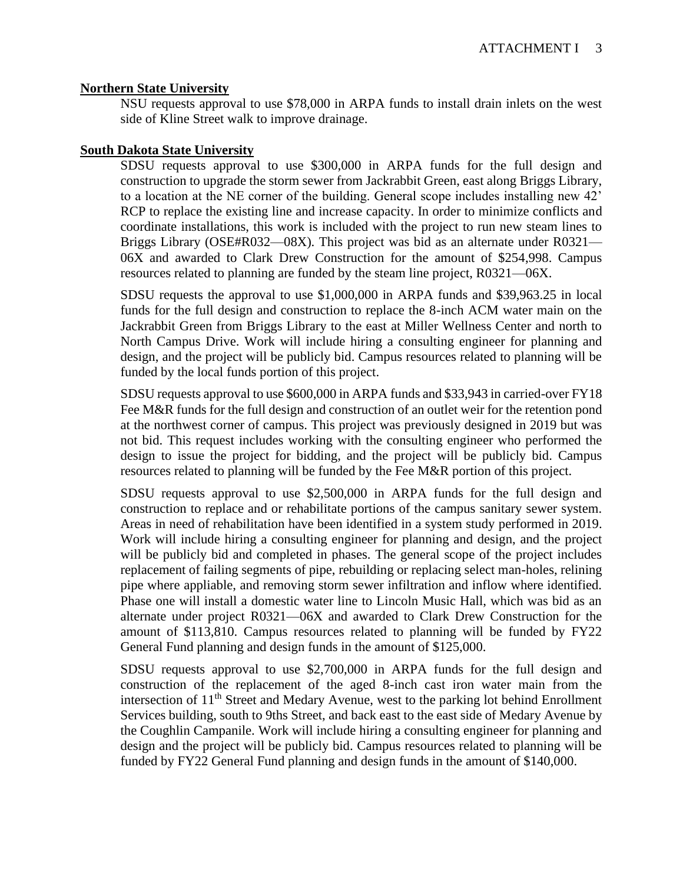### **Northern State University**

NSU requests approval to use \$78,000 in ARPA funds to install drain inlets on the west side of Kline Street walk to improve drainage.

### **South Dakota State University**

SDSU requests approval to use \$300,000 in ARPA funds for the full design and construction to upgrade the storm sewer from Jackrabbit Green, east along Briggs Library, to a location at the NE corner of the building. General scope includes installing new 42' RCP to replace the existing line and increase capacity. In order to minimize conflicts and coordinate installations, this work is included with the project to run new steam lines to Briggs Library (OSE#R032—08X). This project was bid as an alternate under R0321— 06X and awarded to Clark Drew Construction for the amount of \$254,998. Campus resources related to planning are funded by the steam line project, R0321—06X.

SDSU requests the approval to use \$1,000,000 in ARPA funds and \$39,963.25 in local funds for the full design and construction to replace the 8-inch ACM water main on the Jackrabbit Green from Briggs Library to the east at Miller Wellness Center and north to North Campus Drive. Work will include hiring a consulting engineer for planning and design, and the project will be publicly bid. Campus resources related to planning will be funded by the local funds portion of this project.

SDSU requests approval to use \$600,000 in ARPA funds and \$33,943 in carried-over FY18 Fee M&R funds for the full design and construction of an outlet weir for the retention pond at the northwest corner of campus. This project was previously designed in 2019 but was not bid. This request includes working with the consulting engineer who performed the design to issue the project for bidding, and the project will be publicly bid. Campus resources related to planning will be funded by the Fee M&R portion of this project.

SDSU requests approval to use \$2,500,000 in ARPA funds for the full design and construction to replace and or rehabilitate portions of the campus sanitary sewer system. Areas in need of rehabilitation have been identified in a system study performed in 2019. Work will include hiring a consulting engineer for planning and design, and the project will be publicly bid and completed in phases. The general scope of the project includes replacement of failing segments of pipe, rebuilding or replacing select man-holes, relining pipe where appliable, and removing storm sewer infiltration and inflow where identified. Phase one will install a domestic water line to Lincoln Music Hall, which was bid as an alternate under project R0321—06X and awarded to Clark Drew Construction for the amount of \$113,810. Campus resources related to planning will be funded by FY22 General Fund planning and design funds in the amount of \$125,000.

SDSU requests approval to use \$2,700,000 in ARPA funds for the full design and construction of the replacement of the aged 8-inch cast iron water main from the intersection of 11<sup>th</sup> Street and Medary Avenue, west to the parking lot behind Enrollment Services building, south to 9ths Street, and back east to the east side of Medary Avenue by the Coughlin Campanile. Work will include hiring a consulting engineer for planning and design and the project will be publicly bid. Campus resources related to planning will be funded by FY22 General Fund planning and design funds in the amount of \$140,000.